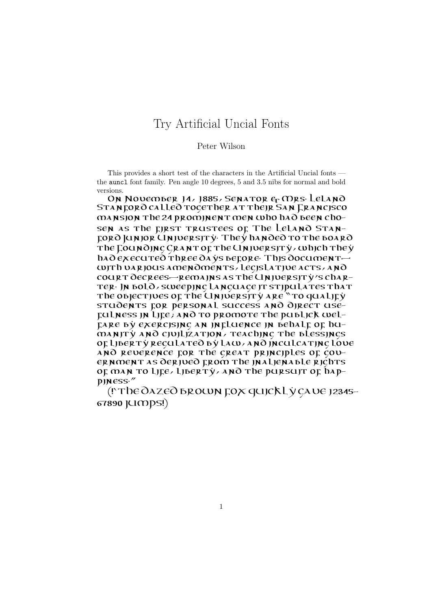## Try Artificial Uncial Fonts

## Peter Wilson

This provides a short test of the characters in the Artificial Uncial fonts the auncl font family. Pen angle 10 degrees, 5 and 3.5 nibs for normal and bold versions.

On November 14, 1885, Senator & Mrs. Leland STANFORO CALLEO TOGETHER AT THEIR SAN FRANCISCO mansion the 24 prominent men who had been chosen as the first trustees of The Leland Stanford Junior University. They handed to the board The COUNOJNC CRANT OF The UNJUERSJTY, which they  $h$  $\lambda$  $\partial$   $\epsilon$   $\chi$  ecuted three  $\partial$  $\lambda$   $\gamma$ s before. This document with various amendments, legislative acts, and court decrees—remains as the University's charter. In bold, sweeping language it stipulates that The objectives of the University are "to qualify students for personal success and direct use- $_{\rm{Eul}$ ness in  $_{\rm{LIE}}$ ; and to promote the publick welfare by exercising an influence in behalf of humanity and civilization, teaching the blessings of liberty regulated by law, and inculcating love  $\lambda$ NO REVERENCE FOR The GREAT PRINCIPLES OF GOVernment as derived from the inalienable rights of man to life, liberty, and the pursuit of happiness."

(!'THE DAZED BROWN FOX QUICKLY GAVE 12345– 67890 JUMPS!)